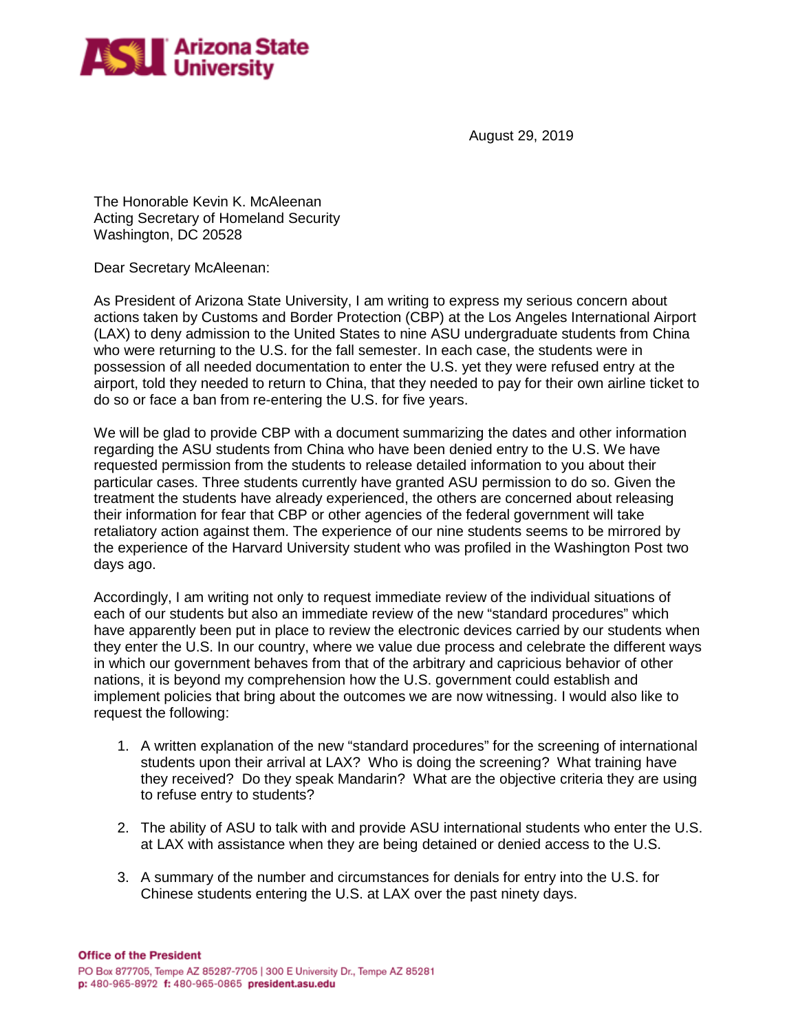

August 29, 2019

The Honorable Kevin K. McAleenan Acting Secretary of Homeland Security Washington, DC 20528

Dear Secretary McAleenan:

As President of Arizona State University, I am writing to express my serious concern about actions taken by Customs and Border Protection (CBP) at the Los Angeles International Airport (LAX) to deny admission to the United States to nine ASU undergraduate students from China who were returning to the U.S. for the fall semester. In each case, the students were in possession of all needed documentation to enter the U.S. yet they were refused entry at the airport, told they needed to return to China, that they needed to pay for their own airline ticket to do so or face a ban from re-entering the U.S. for five years.

We will be glad to provide CBP with a document summarizing the dates and other information regarding the ASU students from China who have been denied entry to the U.S. We have requested permission from the students to release detailed information to you about their particular cases. Three students currently have granted ASU permission to do so. Given the treatment the students have already experienced, the others are concerned about releasing their information for fear that CBP or other agencies of the federal government will take retaliatory action against them. The experience of our nine students seems to be mirrored by the experience of the Harvard University student who was profiled in the Washington Post two days ago.

Accordingly, I am writing not only to request immediate review of the individual situations of each of our students but also an immediate review of the new "standard procedures" which have apparently been put in place to review the electronic devices carried by our students when they enter the U.S. In our country, where we value due process and celebrate the different ways in which our government behaves from that of the arbitrary and capricious behavior of other nations, it is beyond my comprehension how the U.S. government could establish and implement policies that bring about the outcomes we are now witnessing. I would also like to request the following:

- 1. A written explanation of the new "standard procedures" for the screening of international students upon their arrival at LAX? Who is doing the screening? What training have they received? Do they speak Mandarin? What are the objective criteria they are using to refuse entry to students?
- 2. The ability of ASU to talk with and provide ASU international students who enter the U.S. at LAX with assistance when they are being detained or denied access to the U.S.
- 3. A summary of the number and circumstances for denials for entry into the U.S. for Chinese students entering the U.S. at LAX over the past ninety days.

**Office of the President**